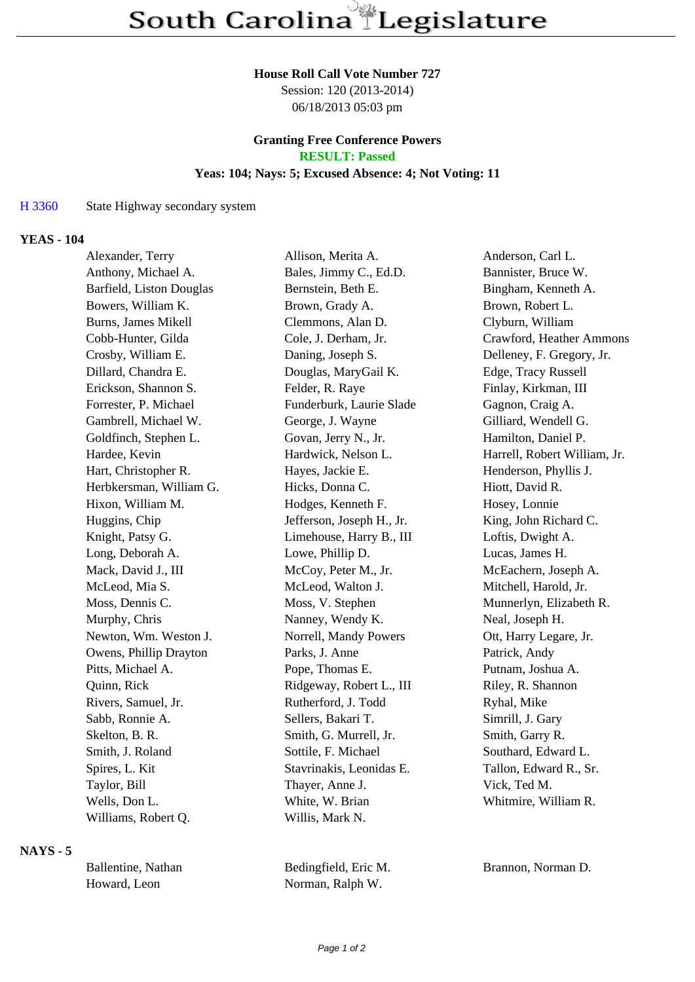## **House Roll Call Vote Number 727**

Session: 120 (2013-2014) 06/18/2013 05:03 pm

# **Granting Free Conference Powers RESULT: Passed**

## **Yeas: 104; Nays: 5; Excused Absence: 4; Not Voting: 11**

#### H 3360 State Highway secondary system

## **YEAS - 104**

| Alexander, Terry         | Allison, Merita A.        | Anderson, Carl L.            |  |
|--------------------------|---------------------------|------------------------------|--|
| Anthony, Michael A.      | Bales, Jimmy C., Ed.D.    | Bannister, Bruce W.          |  |
| Barfield, Liston Douglas | Bernstein, Beth E.        | Bingham, Kenneth A.          |  |
| Bowers, William K.       | Brown, Grady A.           | Brown, Robert L.             |  |
| Burns, James Mikell      | Clemmons, Alan D.         | Clyburn, William             |  |
| Cobb-Hunter, Gilda       | Cole, J. Derham, Jr.      | Crawford, Heather Ammons     |  |
| Crosby, William E.       | Daning, Joseph S.         | Delleney, F. Gregory, Jr.    |  |
| Dillard, Chandra E.      | Douglas, MaryGail K.      | Edge, Tracy Russell          |  |
| Erickson, Shannon S.     | Felder, R. Raye           | Finlay, Kirkman, III         |  |
| Forrester, P. Michael    | Funderburk, Laurie Slade  | Gagnon, Craig A.             |  |
| Gambrell, Michael W.     | George, J. Wayne          | Gilliard, Wendell G.         |  |
| Goldfinch, Stephen L.    | Govan, Jerry N., Jr.      | Hamilton, Daniel P.          |  |
| Hardee, Kevin            | Hardwick, Nelson L.       | Harrell, Robert William, Jr. |  |
| Hart, Christopher R.     | Hayes, Jackie E.          | Henderson, Phyllis J.        |  |
| Herbkersman, William G.  | Hicks, Donna C.           | Hiott, David R.              |  |
| Hixon, William M.        | Hodges, Kenneth F.        | Hosey, Lonnie                |  |
| Huggins, Chip            | Jefferson, Joseph H., Jr. | King, John Richard C.        |  |
| Knight, Patsy G.         | Limehouse, Harry B., III  | Loftis, Dwight A.            |  |
| Long, Deborah A.         | Lowe, Phillip D.          | Lucas, James H.              |  |
| Mack, David J., III      | McCoy, Peter M., Jr.      | McEachern, Joseph A.         |  |
| McLeod, Mia S.           | McLeod, Walton J.         | Mitchell, Harold, Jr.        |  |
| Moss, Dennis C.          | Moss, V. Stephen          | Munnerlyn, Elizabeth R.      |  |
| Murphy, Chris            | Nanney, Wendy K.          | Neal, Joseph H.              |  |
| Newton, Wm. Weston J.    | Norrell, Mandy Powers     | Ott, Harry Legare, Jr.       |  |
| Owens, Phillip Drayton   | Parks, J. Anne            | Patrick, Andy                |  |
| Pitts, Michael A.        | Pope, Thomas E.           | Putnam, Joshua A.            |  |
| Quinn, Rick              | Ridgeway, Robert L., III  | Riley, R. Shannon            |  |
| Rivers, Samuel, Jr.      | Rutherford, J. Todd       | Ryhal, Mike                  |  |
| Sabb, Ronnie A.          | Sellers, Bakari T.        | Simrill, J. Gary             |  |
| Skelton, B. R.           | Smith, G. Murrell, Jr.    | Smith, Garry R.              |  |
| Smith, J. Roland         | Sottile, F. Michael       | Southard, Edward L.          |  |
| Spires, L. Kit           | Stavrinakis, Leonidas E.  | Tallon, Edward R., Sr.       |  |
| Taylor, Bill             | Thayer, Anne J.           | Vick, Ted M.                 |  |
| Wells, Don L.            | White, W. Brian           | Whitmire, William R.         |  |
| Williams, Robert Q.      | Willis, Mark N.           |                              |  |
|                          |                           |                              |  |

#### **NAYS - 5**

| Ballentine, Nathan | Bedingfield, Eric M. | <b>Brannor</b> |
|--------------------|----------------------|----------------|
| Howard, Leon       | Norman, Ralph W.     |                |

n, Norman D.